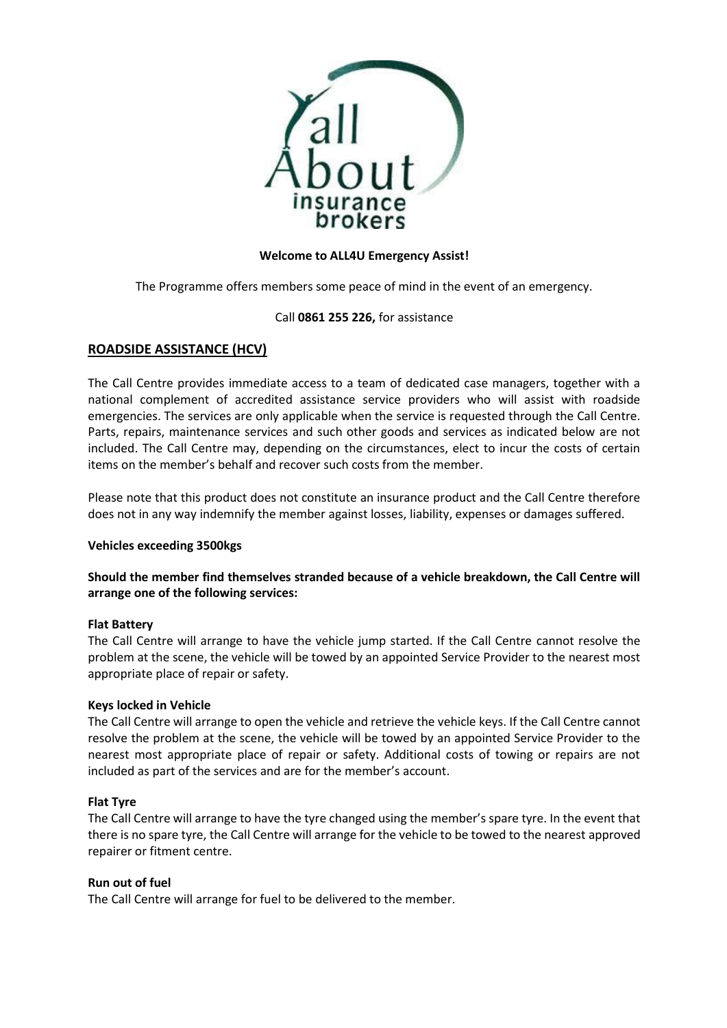

# **Welcome to ALL4U Emergency Assist!**

The Programme offers members some peace of mind in the event of an emergency.

# Call **0861 255 226,** for assistance

# **ROADSIDE ASSISTANCE (HCV)**

The Call Centre provides immediate access to a team of dedicated case managers, together with a national complement of accredited assistance service providers who will assist with roadside emergencies. The services are only applicable when the service is requested through the Call Centre. Parts, repairs, maintenance services and such other goods and services as indicated below are not included. The Call Centre may, depending on the circumstances, elect to incur the costs of certain items on the member's behalf and recover such costs from the member.

Please note that this product does not constitute an insurance product and the Call Centre therefore does not in any way indemnify the member against losses, liability, expenses or damages suffered.

#### **Vehicles exceeding 3500kgs**

# **Should the member find themselves stranded because of a vehicle breakdown, the Call Centre will arrange one of the following services:**

#### **Flat Battery**

The Call Centre will arrange to have the vehicle jump started. If the Call Centre cannot resolve the problem at the scene, the vehicle will be towed by an appointed Service Provider to the nearest most appropriate place of repair or safety.

#### **Keys locked in Vehicle**

The Call Centre will arrange to open the vehicle and retrieve the vehicle keys. If the Call Centre cannot resolve the problem at the scene, the vehicle will be towed by an appointed Service Provider to the nearest most appropriate place of repair or safety. Additional costs of towing or repairs are not included as part of the services and are for the member's account.

#### **Flat Tyre**

The Call Centre will arrange to have the tyre changed using the member's spare tyre. In the event that there is no spare tyre, the Call Centre will arrange for the vehicle to be towed to the nearest approved repairer or fitment centre.

#### **Run out of fuel**

The Call Centre will arrange for fuel to be delivered to the member.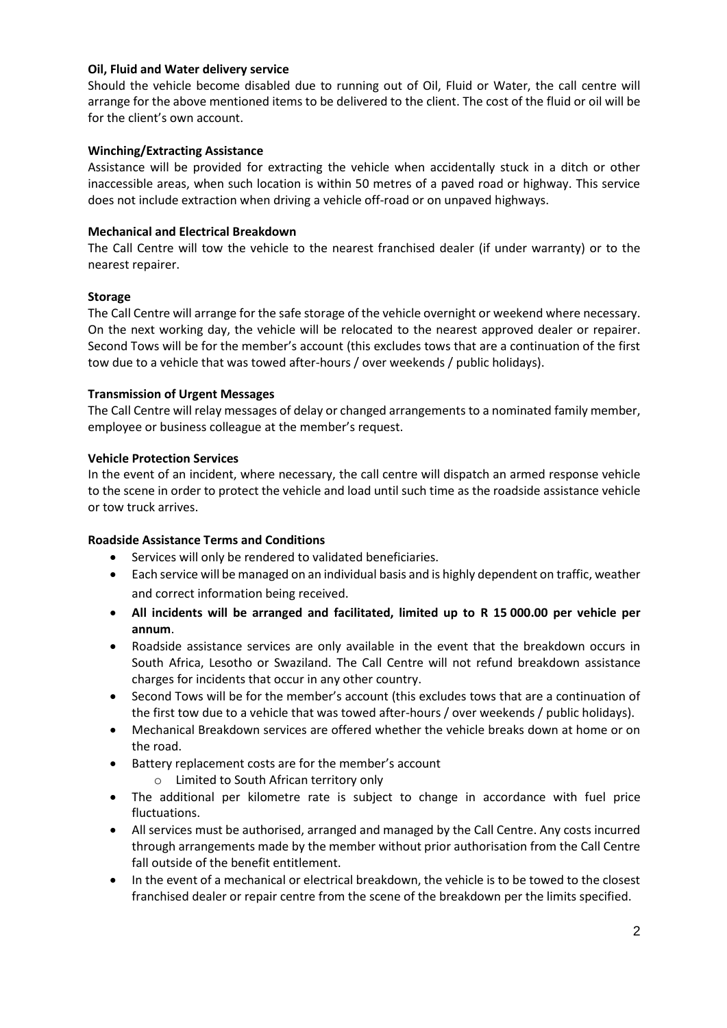### **Oil, Fluid and Water delivery service**

Should the vehicle become disabled due to running out of Oil, Fluid or Water, the call centre will arrange for the above mentioned items to be delivered to the client. The cost of the fluid or oil will be for the client's own account.

# **Winching/Extracting Assistance**

Assistance will be provided for extracting the vehicle when accidentally stuck in a ditch or other inaccessible areas, when such location is within 50 metres of a paved road or highway. This service does not include extraction when driving a vehicle off-road or on unpaved highways.

# **Mechanical and Electrical Breakdown**

The Call Centre will tow the vehicle to the nearest franchised dealer (if under warranty) or to the nearest repairer.

# **Storage**

The Call Centre will arrange for the safe storage of the vehicle overnight or weekend where necessary. On the next working day, the vehicle will be relocated to the nearest approved dealer or repairer. Second Tows will be for the member's account (this excludes tows that are a continuation of the first tow due to a vehicle that was towed after-hours / over weekends / public holidays).

# **Transmission of Urgent Messages**

The Call Centre will relay messages of delay or changed arrangements to a nominated family member, employee or business colleague at the member's request.

# **Vehicle Protection Services**

In the event of an incident, where necessary, the call centre will dispatch an armed response vehicle to the scene in order to protect the vehicle and load until such time as the roadside assistance vehicle or tow truck arrives.

# **Roadside Assistance Terms and Conditions**

- Services will only be rendered to validated beneficiaries.
- Each service will be managed on an individual basis and is highly dependent on traffic, weather and correct information being received.
- **All incidents will be arranged and facilitated, limited up to R 15 000.00 per vehicle per annum**.
- Roadside assistance services are only available in the event that the breakdown occurs in South Africa, Lesotho or Swaziland. The Call Centre will not refund breakdown assistance charges for incidents that occur in any other country.
- Second Tows will be for the member's account (this excludes tows that are a continuation of the first tow due to a vehicle that was towed after-hours / over weekends / public holidays).
- Mechanical Breakdown services are offered whether the vehicle breaks down at home or on the road.
- Battery replacement costs are for the member's account
	- o Limited to South African territory only
- The additional per kilometre rate is subject to change in accordance with fuel price fluctuations.
- All services must be authorised, arranged and managed by the Call Centre. Any costs incurred through arrangements made by the member without prior authorisation from the Call Centre fall outside of the benefit entitlement.
- In the event of a mechanical or electrical breakdown, the vehicle is to be towed to the closest franchised dealer or repair centre from the scene of the breakdown per the limits specified.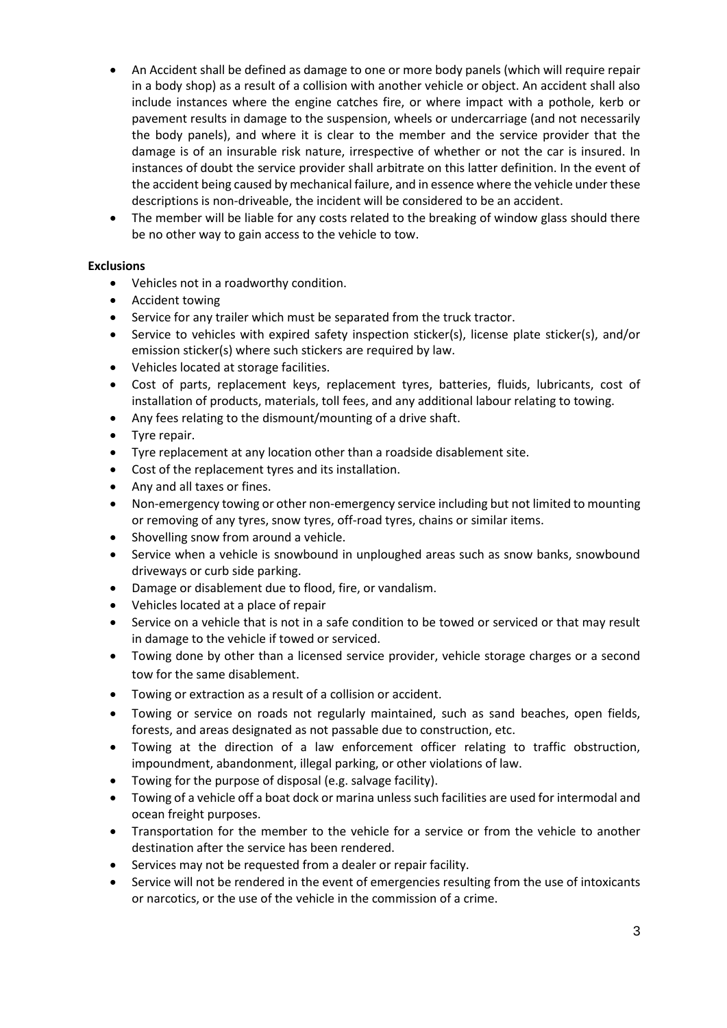- An Accident shall be defined as damage to one or more body panels (which will require repair in a body shop) as a result of a collision with another vehicle or object. An accident shall also include instances where the engine catches fire, or where impact with a pothole, kerb or pavement results in damage to the suspension, wheels or undercarriage (and not necessarily the body panels), and where it is clear to the member and the service provider that the damage is of an insurable risk nature, irrespective of whether or not the car is insured. In instances of doubt the service provider shall arbitrate on this latter definition. In the event of the accident being caused by mechanical failure, and in essence where the vehicle under these descriptions is non-driveable, the incident will be considered to be an accident.
- The member will be liable for any costs related to the breaking of window glass should there be no other way to gain access to the vehicle to tow.

# **Exclusions**

- Vehicles not in a roadworthy condition.
- Accident towing
- Service for any trailer which must be separated from the truck tractor.
- Service to vehicles with expired safety inspection sticker(s), license plate sticker(s), and/or emission sticker(s) where such stickers are required by law.
- Vehicles located at storage facilities.
- Cost of parts, replacement keys, replacement tyres, batteries, fluids, lubricants, cost of installation of products, materials, toll fees, and any additional labour relating to towing.
- Any fees relating to the dismount/mounting of a drive shaft.
- Tyre repair.
- Tyre replacement at any location other than a roadside disablement site.
- Cost of the replacement tyres and its installation.
- Any and all taxes or fines.
- Non-emergency towing or other non-emergency service including but not limited to mounting or removing of any tyres, snow tyres, off-road tyres, chains or similar items.
- Shovelling snow from around a vehicle.
- Service when a vehicle is snowbound in unploughed areas such as snow banks, snowbound driveways or curb side parking.
- Damage or disablement due to flood, fire, or vandalism.
- Vehicles located at a place of repair
- Service on a vehicle that is not in a safe condition to be towed or serviced or that may result in damage to the vehicle if towed or serviced.
- Towing done by other than a licensed service provider, vehicle storage charges or a second tow for the same disablement.
- Towing or extraction as a result of a collision or accident.
- Towing or service on roads not regularly maintained, such as sand beaches, open fields, forests, and areas designated as not passable due to construction, etc.
- Towing at the direction of a law enforcement officer relating to traffic obstruction, impoundment, abandonment, illegal parking, or other violations of law.
- Towing for the purpose of disposal (e.g. salvage facility).
- Towing of a vehicle off a boat dock or marina unless such facilities are used for intermodal and ocean freight purposes.
- Transportation for the member to the vehicle for a service or from the vehicle to another destination after the service has been rendered.
- Services may not be requested from a dealer or repair facility.
- Service will not be rendered in the event of emergencies resulting from the use of intoxicants or narcotics, or the use of the vehicle in the commission of a crime.